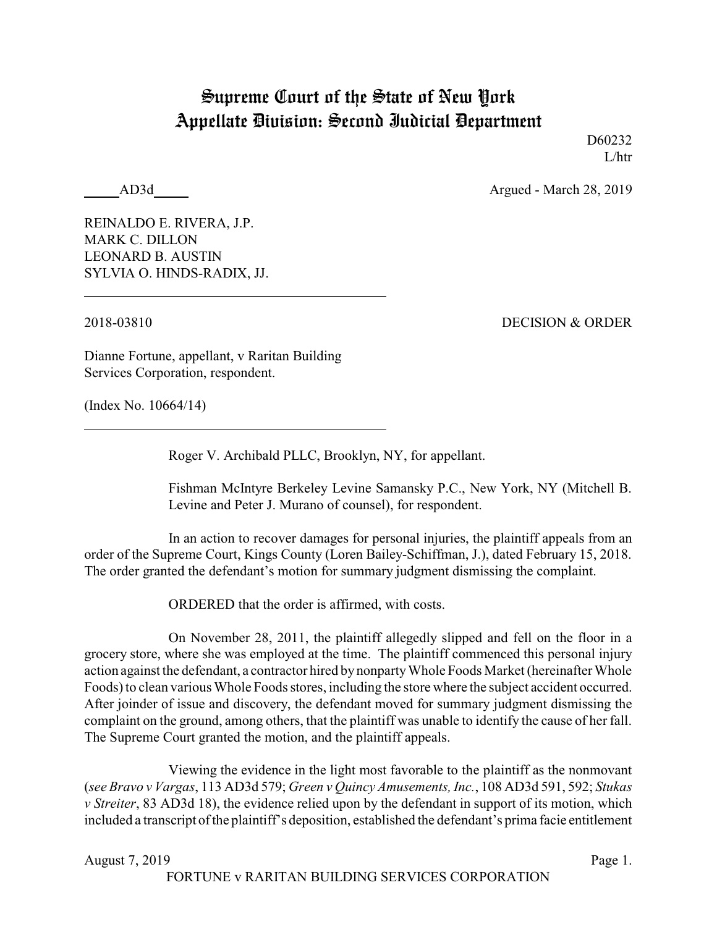## Supreme Court of the State of New York Appellate Division: Second Judicial Department

D60232 L/htr

AD3d Argued - March 28, 2019

REINALDO E. RIVERA, J.P. MARK C. DILLON LEONARD B. AUSTIN SYLVIA O. HINDS-RADIX, JJ.

2018-03810 DECISION & ORDER

Dianne Fortune, appellant, v Raritan Building Services Corporation, respondent.

(Index No. 10664/14)

Roger V. Archibald PLLC, Brooklyn, NY, for appellant.

Fishman McIntyre Berkeley Levine Samansky P.C., New York, NY (Mitchell B. Levine and Peter J. Murano of counsel), for respondent.

In an action to recover damages for personal injuries, the plaintiff appeals from an order of the Supreme Court, Kings County (Loren Bailey-Schiffman, J.), dated February 15, 2018. The order granted the defendant's motion for summary judgment dismissing the complaint.

ORDERED that the order is affirmed, with costs.

On November 28, 2011, the plaintiff allegedly slipped and fell on the floor in a grocery store, where she was employed at the time. The plaintiff commenced this personal injury action against the defendant, a contractor hired by nonpartyWhole Foods Market (hereinafter Whole Foods) to clean various Whole Foods stores, including the store where the subject accident occurred. After joinder of issue and discovery, the defendant moved for summary judgment dismissing the complaint on the ground, among others, that the plaintiff was unable to identify the cause of her fall. The Supreme Court granted the motion, and the plaintiff appeals.

Viewing the evidence in the light most favorable to the plaintiff as the nonmovant (*see Bravo v Vargas*, 113 AD3d 579; *Green v Quincy Amusements, Inc.*, 108 AD3d 591, 592; *Stukas v Streiter*, 83 AD3d 18), the evidence relied upon by the defendant in support of its motion, which included a transcript of the plaintiff's deposition, established the defendant's prima facie entitlement

August 7, 2019 Page 1.

FORTUNE v RARITAN BUILDING SERVICES CORPORATION